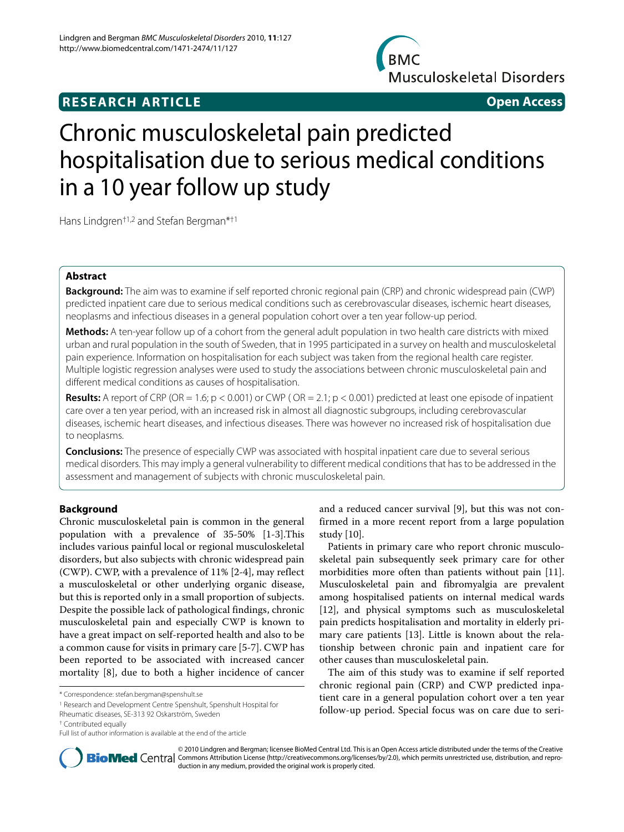## **RESEARCH ARTICLE Open Access**

**BMC Musculoskeletal Disorders** 



# Chronic musculoskeletal pain predicted hospitalisation due to serious medical conditions in a 10 year follow up study

Hans Lindgren†1,2 and Stefan Bergman\*†1

## **Abstract**

**Background:** The aim was to examine if self reported chronic regional pain (CRP) and chronic widespread pain (CWP) predicted inpatient care due to serious medical conditions such as cerebrovascular diseases, ischemic heart diseases, neoplasms and infectious diseases in a general population cohort over a ten year follow-up period.

**Methods:** A ten-year follow up of a cohort from the general adult population in two health care districts with mixed urban and rural population in the south of Sweden, that in 1995 participated in a survey on health and musculoskeletal pain experience. Information on hospitalisation for each subject was taken from the regional health care register. Multiple logistic regression analyses were used to study the associations between chronic musculoskeletal pain and different medical conditions as causes of hospitalisation.

**Results:** A report of CRP (OR = 1.6; p < 0.001) or CWP ( OR = 2.1; p < 0.001) predicted at least one episode of inpatient care over a ten year period, with an increased risk in almost all diagnostic subgroups, including cerebrovascular diseases, ischemic heart diseases, and infectious diseases. There was however no increased risk of hospitalisation due to neoplasms.

**Conclusions:** The presence of especially CWP was associated with hospital inpatient care due to several serious medical disorders. This may imply a general vulnerability to different medical conditions that has to be addressed in the assessment and management of subjects with chronic musculoskeletal pain.

## **Background**

Chronic musculoskeletal pain is common in the general population with a prevalence of 35-50% [[1](#page-8-0)[-3](#page-8-1)].This includes various painful local or regional musculoskeletal disorders, but also subjects with chronic widespread pain (CWP). CWP, with a prevalence of 11% [[2](#page-8-2)-[4\]](#page-8-3), may reflect a musculoskeletal or other underlying organic disease, but this is reported only in a small proportion of subjects. Despite the possible lack of pathological findings, chronic musculoskeletal pain and especially CWP is known to have a great impact on self-reported health and also to be a common cause for visits in primary care [[5-](#page-8-4)[7](#page-8-5)]. CWP has been reported to be associated with increased cancer mortality [[8\]](#page-8-6), due to both a higher incidence of cancer

1 Research and Development Centre Spenshult, Spenshult Hospital for

and a reduced cancer survival [[9\]](#page-8-7), but this was not confirmed in a more recent report from a large population study [\[10](#page-8-8)].

Patients in primary care who report chronic musculoskeletal pain subsequently seek primary care for other morbidities more often than patients without pain [\[11](#page-8-9)]. Musculoskeletal pain and fibromyalgia are prevalent among hospitalised patients on internal medical wards [[12\]](#page-8-10), and physical symptoms such as musculoskeletal pain predicts hospitalisation and mortality in elderly primary care patients [[13\]](#page-8-11). Little is known about the relationship between chronic pain and inpatient care for other causes than musculoskeletal pain.

The aim of this study was to examine if self reported chronic regional pain (CRP) and CWP predicted inpatient care in a general population cohort over a ten year follow-up period. Special focus was on care due to seri-



© 2010 Lindgren and Bergman; licensee BioMed Central Ltd. This is an Open Access article distributed under the terms of the Creative **Bio Med** Central Commons Attribution License (http://creativecommons.org/licenses/by/2.0), which permits unrestricted use, distribution, and reproduction in any medium, provided the original work is properly cited.

<sup>\*</sup> Correspondence: stefan.bergman@spenshult.se

Rheumatic diseases, SE-313 92 Oskarström, Sweden

<sup>†</sup> Contributed equally

Full list of author information is available at the end of the article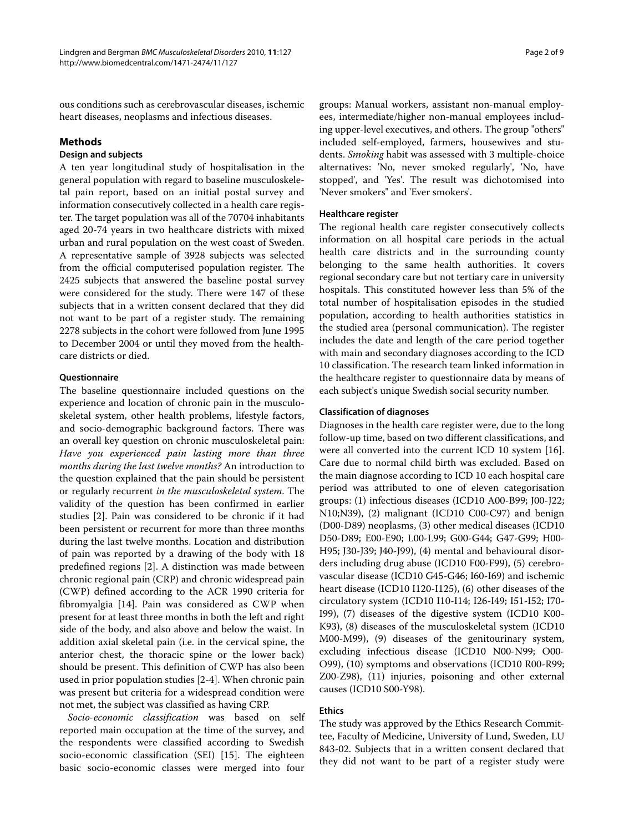ous conditions such as cerebrovascular diseases, ischemic heart diseases, neoplasms and infectious diseases.

## **Methods**

## **Design and subjects**

A ten year longitudinal study of hospitalisation in the general population with regard to baseline musculoskeletal pain report, based on an initial postal survey and information consecutively collected in a health care register. The target population was all of the 70704 inhabitants aged 20-74 years in two healthcare districts with mixed urban and rural population on the west coast of Sweden. A representative sample of 3928 subjects was selected from the official computerised population register. The 2425 subjects that answered the baseline postal survey were considered for the study. There were 147 of these subjects that in a written consent declared that they did not want to be part of a register study. The remaining 2278 subjects in the cohort were followed from June 1995 to December 2004 or until they moved from the healthcare districts or died.

## **Questionnaire**

The baseline questionnaire included questions on the experience and location of chronic pain in the musculoskeletal system, other health problems, lifestyle factors, and socio-demographic background factors. There was an overall key question on chronic musculoskeletal pain: *Have you experienced pain lasting more than three months during the last twelve months?* An introduction to the question explained that the pain should be persistent or regularly recurrent *in the musculoskeletal system*. The validity of the question has been confirmed in earlier studies [\[2](#page-8-2)]. Pain was considered to be chronic if it had been persistent or recurrent for more than three months during the last twelve months. Location and distribution of pain was reported by a drawing of the body with 18 predefined regions [[2\]](#page-8-2). A distinction was made between chronic regional pain (CRP) and chronic widespread pain (CWP) defined according to the ACR 1990 criteria for fibromyalgia [[14\]](#page-8-12). Pain was considered as CWP when present for at least three months in both the left and right side of the body, and also above and below the waist. In addition axial skeletal pain (i.e. in the cervical spine, the anterior chest, the thoracic spine or the lower back) should be present. This definition of CWP has also been used in prior population studies [\[2-](#page-8-2)[4\]](#page-8-3). When chronic pain was present but criteria for a widespread condition were not met, the subject was classified as having CRP.

*Socio-economic classification* was based on self reported main occupation at the time of the survey, and the respondents were classified according to Swedish socio-economic classification (SEI) [[15\]](#page-8-13). The eighteen basic socio-economic classes were merged into four

groups: Manual workers, assistant non-manual employees, intermediate/higher non-manual employees including upper-level executives, and others. The group "others" included self-employed, farmers, housewives and students. *Smoking* habit was assessed with 3 multiple-choice alternatives: 'No, never smoked regularly', 'No, have stopped', and 'Yes'. The result was dichotomised into 'Never smokers" and 'Ever smokers'.

#### **Healthcare register**

The regional health care register consecutively collects information on all hospital care periods in the actual health care districts and in the surrounding county belonging to the same health authorities. It covers regional secondary care but not tertiary care in university hospitals. This constituted however less than 5% of the total number of hospitalisation episodes in the studied population, according to health authorities statistics in the studied area (personal communication). The register includes the date and length of the care period together with main and secondary diagnoses according to the ICD 10 classification. The research team linked information in the healthcare register to questionnaire data by means of each subject's unique Swedish social security number.

#### **Classification of diagnoses**

Diagnoses in the health care register were, due to the long follow-up time, based on two different classifications, and were all converted into the current ICD 10 system [\[16](#page-8-14)]. Care due to normal child birth was excluded. Based on the main diagnose according to ICD 10 each hospital care period was attributed to one of eleven categorisation groups: (1) infectious diseases (ICD10 A00-B99; J00-J22; N10;N39), (2) malignant (ICD10 C00-C97) and benign (D00-D89) neoplasms, (3) other medical diseases (ICD10 D50-D89; E00-E90; L00-L99; G00-G44; G47-G99; H00- H95; J30-J39; J40-J99), (4) mental and behavioural disorders including drug abuse (ICD10 F00-F99), (5) cerebrovascular disease (ICD10 G45-G46; I60-I69) and ischemic heart disease (ICD10 I120-I125), (6) other diseases of the circulatory system (ICD10 I10-I14; I26-I49; I51-I52; I70- I99), (7) diseases of the digestive system (ICD10 K00- K93), (8) diseases of the musculoskeletal system (ICD10 M00-M99), (9) diseases of the genitourinary system, excluding infectious disease (ICD10 N00-N99; O00- O99), (10) symptoms and observations (ICD10 R00-R99; Z00-Z98), (11) injuries, poisoning and other external causes (ICD10 S00-Y98).

#### **Ethics**

The study was approved by the Ethics Research Committee, Faculty of Medicine, University of Lund, Sweden, LU 843-02. Subjects that in a written consent declared that they did not want to be part of a register study were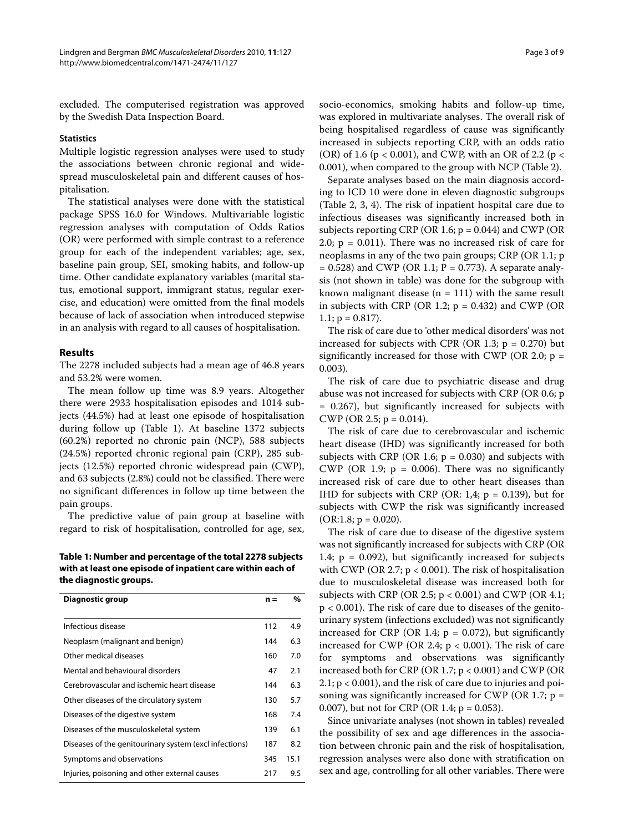excluded. The computerised registration was approved by the Swedish Data Inspection Board.

#### **Statistics**

Multiple logistic regression analyses were used to study the associations between chronic regional and widespread musculoskeletal pain and different causes of hospitalisation.

The statistical analyses were done with the statistical package SPSS 16.0 for Windows. Multivariable logistic regression analyses with computation of Odds Ratios (OR) were performed with simple contrast to a reference group for each of the independent variables; age, sex, baseline pain group, SEI, smoking habits, and follow-up time. Other candidate explanatory variables (marital status, emotional support, immigrant status, regular exercise, and education) were omitted from the final models because of lack of association when introduced stepwise in an analysis with regard to all causes of hospitalisation.

#### **Results**

The 2278 included subjects had a mean age of 46.8 years and 53.2% were women.

The mean follow up time was 8.9 years. Altogether there were 2933 hospitalisation episodes and 1014 subjects (44.5%) had at least one episode of hospitalisation during follow up (Table 1). At baseline 1372 subjects (60.2%) reported no chronic pain (NCP), 588 subjects (24.5%) reported chronic regional pain (CRP), 285 subjects (12.5%) reported chronic widespread pain (CWP), and 63 subjects (2.8%) could not be classified. There were no significant differences in follow up time between the pain groups.

The predictive value of pain group at baseline with regard to risk of hospitalisation, controlled for age, sex,

**Table 1: Number and percentage of the total 2278 subjects with at least one episode of inpatient care within each of the diagnostic groups.**

| Diagnostic group                                       | $n =$ | %    |
|--------------------------------------------------------|-------|------|
|                                                        |       |      |
| Infectious disease                                     | 112   | 4.9  |
| Neoplasm (malignant and benign)                        | 144   | 6.3  |
| Other medical diseases                                 | 160   | 7.0  |
| Mental and behavioural disorders                       | 47    | 2.1  |
| Cerebrovascular and ischemic heart disease             | 144   | 6.3  |
| Other diseases of the circulatory system               | 130   | 5.7  |
| Diseases of the digestive system                       | 168   | 7.4  |
| Diseases of the musculoskeletal system                 | 139   | 6.1  |
| Diseases of the genitourinary system (excl infections) | 187   | 8.2  |
| Symptoms and observations                              | 345   | 15.1 |
| Injuries, poisoning and other external causes          | 217   | 9.5  |

socio-economics, smoking habits and follow-up time, was explored in multivariate analyses. The overall risk of being hospitalised regardless of cause was significantly increased in subjects reporting CRP, with an odds ratio (OR) of 1.6 ( $p < 0.001$ ), and CWP, with an OR of 2.2 ( $p <$ 0.001), when compared to the group with NCP (Table 2).

Separate analyses based on the main diagnosis according to ICD 10 were done in eleven diagnostic subgroups (Table [2](#page-3-0), 3, 4). The risk of inpatient hospital care due to infectious diseases was significantly increased both in subjects reporting CRP (OR 1.6;  $p = 0.044$ ) and CWP (OR 2.0;  $p = 0.011$ ). There was no increased risk of care for neoplasms in any of the two pain groups; CRP (OR 1.1; p  $= 0.528$ ) and CWP (OR 1.1; P = 0.773). A separate analysis (not shown in table) was done for the subgroup with known malignant disease ( $n = 111$ ) with the same result in subjects with CRP (OR 1.2;  $p = 0.432$ ) and CWP (OR  $1.1; p = 0.817$ .

The risk of care due to 'other medical disorders' was not increased for subjects with CPR (OR 1.3;  $p = 0.270$ ) but significantly increased for those with CWP (OR 2.0;  $p =$ 0.003).

The risk of care due to psychiatric disease and drug abuse was not increased for subjects with CRP (OR 0.6; p = 0.267), but significantly increased for subjects with CWP (OR 2.5;  $p = 0.014$ ).

The risk of care due to cerebrovascular and ischemic heart disease (IHD) was significantly increased for both subjects with CRP (OR 1.6;  $p = 0.030$ ) and subjects with CWP (OR 1.9;  $p = 0.006$ ). There was no significantly increased risk of care due to other heart diseases than IHD for subjects with CRP (OR: 1,4;  $p = 0.139$ ), but for subjects with CWP the risk was significantly increased  $(OR:1.8; p = 0.020).$ 

The risk of care due to disease of the digestive system was not significantly increased for subjects with CRP (OR 1.4;  $p = 0.092$ ), but significantly increased for subjects with CWP (OR 2.7;  $p < 0.001$ ). The risk of hospitalisation due to musculoskeletal disease was increased both for subjects with CRP (OR 2.5;  $p < 0.001$ ) and CWP (OR 4.1; p < 0.001). The risk of care due to diseases of the genitourinary system (infections excluded) was not significantly increased for CRP (OR 1.4;  $p = 0.072$ ), but significantly increased for CWP (OR 2.4;  $p < 0.001$ ). The risk of care for symptoms and observations was significantly increased both for CRP (OR 1.7; p < 0.001) and CWP (OR 2.1; p < 0.001), and the risk of care due to injuries and poisoning was significantly increased for CWP (OR 1.7;  $p =$ 0.007), but not for CRP (OR 1.4; p = 0.053).

Since univariate analyses (not shown in tables) revealed the possibility of sex and age differences in the association between chronic pain and the risk of hospitalisation, regression analyses were also done with stratification on sex and age, controlling for all other variables. There were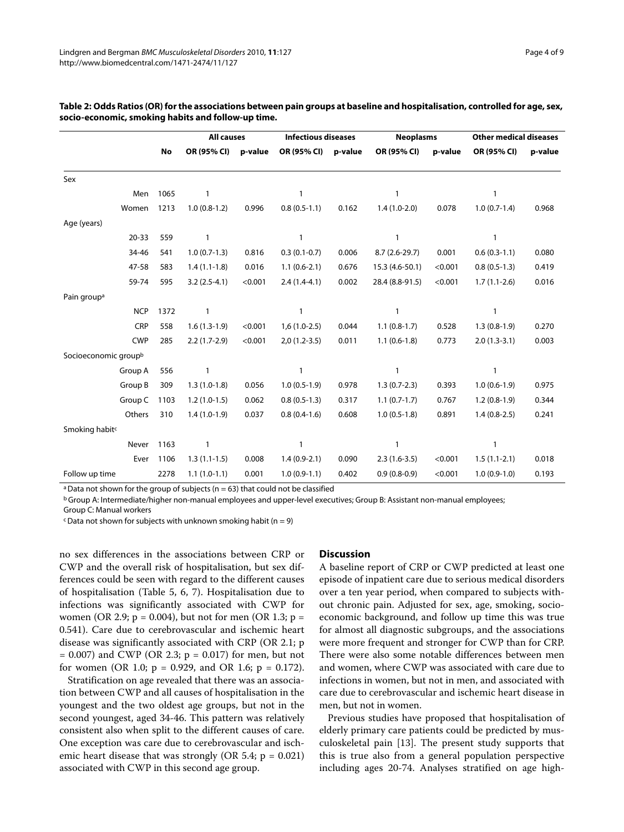|                                  |           | <b>All causes</b> | <b>Infectious diseases</b> |                |         | <b>Neoplasms</b> |         | <b>Other medical diseases</b> |         |  |
|----------------------------------|-----------|-------------------|----------------------------|----------------|---------|------------------|---------|-------------------------------|---------|--|
|                                  | <b>No</b> | OR (95% CI)       | p-value                    | OR (95% CI)    | p-value | OR (95% CI)      | p-value | OR (95% CI)                   | p-value |  |
| Sex                              |           |                   |                            |                |         |                  |         |                               |         |  |
| Men                              | 1065      | $\mathbf{1}$      |                            | 1              |         | 1                |         | $\mathbf{1}$                  |         |  |
| Women                            | 1213      | $1.0(0.8-1.2)$    | 0.996                      | $0.8(0.5-1.1)$ | 0.162   | $1.4(1.0-2.0)$   | 0.078   | $1.0(0.7-1.4)$                | 0.968   |  |
| Age (years)                      |           |                   |                            |                |         |                  |         |                               |         |  |
| $20 - 33$                        | 559       | $\mathbf{1}$      |                            | $\mathbf{1}$   |         | $\mathbf{1}$     |         | $\mathbf{1}$                  |         |  |
| 34-46                            | 541       | $1.0(0.7-1.3)$    | 0.816                      | $0.3(0.1-0.7)$ | 0.006   | 8.7 (2.6-29.7)   | 0.001   | $0.6(0.3-1.1)$                | 0.080   |  |
| 47-58                            | 583       | $1.4(1.1-1.8)$    | 0.016                      | $1.1(0.6-2.1)$ | 0.676   | 15.3 (4.6-50.1)  | < 0.001 | $0.8(0.5-1.3)$                | 0.419   |  |
| 59-74                            | 595       | $3.2(2.5-4.1)$    | < 0.001                    | $2.4(1.4-4.1)$ | 0.002   | 28.4 (8.8-91.5)  | < 0.001 | $1.7(1.1-2.6)$                | 0.016   |  |
| Pain group <sup>a</sup>          |           |                   |                            |                |         |                  |         |                               |         |  |
| <b>NCP</b>                       | 1372      | $\mathbf{1}$      |                            | $\mathbf{1}$   |         | 1                |         | $\mathbf{1}$                  |         |  |
| CRP                              | 558       | $1.6(1.3-1.9)$    | < 0.001                    | $1,6(1.0-2.5)$ | 0.044   | $1.1(0.8-1.7)$   | 0.528   | $1.3(0.8-1.9)$                | 0.270   |  |
| <b>CWP</b>                       | 285       | $2.2(1.7-2.9)$    | < 0.001                    | $2,0(1.2-3.5)$ | 0.011   | $1.1(0.6-1.8)$   | 0.773   | $2.0(1.3-3.1)$                | 0.003   |  |
| Socioeconomic group <sup>b</sup> |           |                   |                            |                |         |                  |         |                               |         |  |
| Group A                          | 556       | 1                 |                            | $\mathbf{1}$   |         | $\mathbf{1}$     |         | 1                             |         |  |
| Group B                          | 309       | $1.3(1.0-1.8)$    | 0.056                      | $1.0(0.5-1.9)$ | 0.978   | $1.3(0.7-2.3)$   | 0.393   | $1.0(0.6-1.9)$                | 0.975   |  |
| Group C                          | 1103      | $1.2(1.0-1.5)$    | 0.062                      | $0.8(0.5-1.3)$ | 0.317   | $1.1(0.7-1.7)$   | 0.767   | $1.2(0.8-1.9)$                | 0.344   |  |
| Others                           | 310       | $1.4(1.0-1.9)$    | 0.037                      | $0.8(0.4-1.6)$ | 0.608   | $1.0(0.5-1.8)$   | 0.891   | $1.4(0.8-2.5)$                | 0.241   |  |
| Smoking habit <sup>c</sup>       |           |                   |                            |                |         |                  |         |                               |         |  |
| Never                            | 1163      | $\mathbf{1}$      |                            | $\mathbf{1}$   |         | 1                |         | $\mathbf{1}$                  |         |  |
| Ever                             | 1106      | $1.3(1.1-1.5)$    | 0.008                      | $1.4(0.9-2.1)$ | 0.090   | $2.3(1.6-3.5)$   | < 0.001 | $1.5(1.1-2.1)$                | 0.018   |  |
| Follow up time                   | 2278      | $1.1(1.0-1.1)$    | 0.001                      | $1.0(0.9-1.1)$ | 0.402   | $0.9(0.8-0.9)$   | < 0.001 | $1.0(0.9-1.0)$                | 0.193   |  |

## <span id="page-3-0"></span>**Table 2: Odds Ratios (OR) for the associations between pain groups at baseline and hospitalisation, controlled for age, sex, socio-economic, smoking habits and follow-up time.**

<sup>a</sup> Data not shown for the group of subjects ( $n = 63$ ) that could not be classified

b Group A: Intermediate/higher non-manual employees and upper-level executives; Group B: Assistant non-manual employees; Group C: Manual workers

 $\epsilon$  Data not shown for subjects with unknown smoking habit (n = 9)

no sex differences in the associations between CRP or CWP and the overall risk of hospitalisation, but sex differences could be seen with regard to the different causes of hospitalisation (Table 5, [6](#page-6-0), [7](#page-7-0)). Hospitalisation due to infections was significantly associated with CWP for women (OR 2.9;  $p = 0.004$ ), but not for men (OR 1.3;  $p =$ 0.541). Care due to cerebrovascular and ischemic heart disease was significantly associated with CRP (OR 2.1; p  $= 0.007$ ) and CWP (OR 2.3; p  $= 0.017$ ) for men, but not for women (OR 1.0;  $p = 0.929$ , and OR 1.6;  $p = 0.172$ ).

Stratification on age revealed that there was an association between CWP and all causes of hospitalisation in the youngest and the two oldest age groups, but not in the second youngest, aged 34-46. This pattern was relatively consistent also when split to the different causes of care. One exception was care due to cerebrovascular and ischemic heart disease that was strongly (OR 5.4;  $p = 0.021$ ) associated with CWP in this second age group.

## **Discussion**

A baseline report of CRP or CWP predicted at least one episode of inpatient care due to serious medical disorders over a ten year period, when compared to subjects without chronic pain. Adjusted for sex, age, smoking, socioeconomic background, and follow up time this was true for almost all diagnostic subgroups, and the associations were more frequent and stronger for CWP than for CRP. There were also some notable differences between men and women, where CWP was associated with care due to infections in women, but not in men, and associated with care due to cerebrovascular and ischemic heart disease in men, but not in women.

Previous studies have proposed that hospitalisation of elderly primary care patients could be predicted by musculoskeletal pain [[13\]](#page-8-11). The present study supports that this is true also from a general population perspective including ages 20-74. Analyses stratified on age high-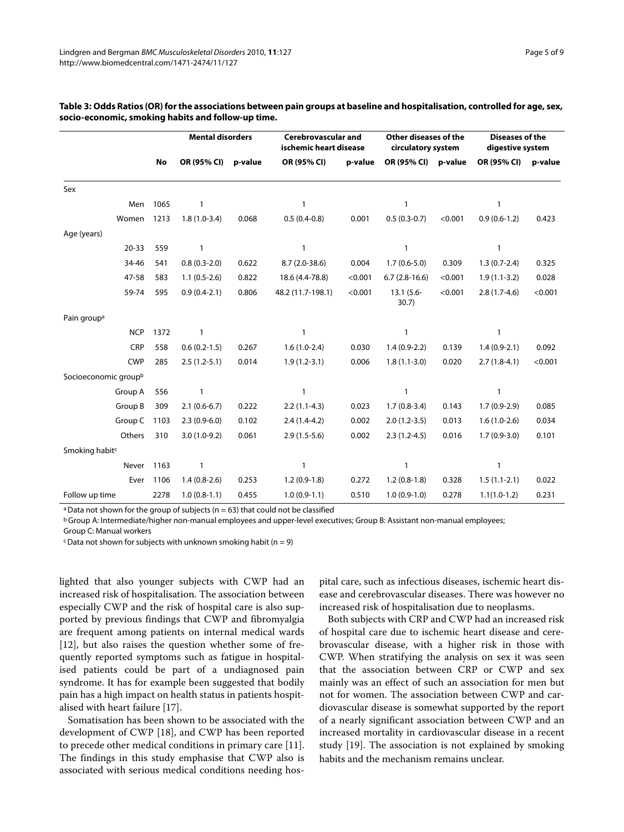|                                  |      | <b>Mental disorders</b> |         | <b>Cerebrovascular and</b><br>ischemic heart disease |         | Other diseases of the<br>circulatory system |         | <b>Diseases of the</b><br>digestive system |         |
|----------------------------------|------|-------------------------|---------|------------------------------------------------------|---------|---------------------------------------------|---------|--------------------------------------------|---------|
|                                  | No   | OR (95% CI)             | p-value | OR (95% CI)                                          | p-value | OR (95% CI)                                 | p-value | OR (95% CI)                                | p-value |
| Sex                              |      |                         |         |                                                      |         |                                             |         |                                            |         |
| Men                              | 1065 | 1                       |         | 1                                                    |         | $\mathbf{1}$                                |         | $\mathbf{1}$                               |         |
| Women                            | 1213 | $1.8(1.0-3.4)$          | 0.068   | $0.5(0.4-0.8)$                                       | 0.001   | $0.5(0.3-0.7)$                              | < 0.001 | $0.9(0.6-1.2)$                             | 0.423   |
| Age (years)                      |      |                         |         |                                                      |         |                                             |         |                                            |         |
| $20 - 33$                        | 559  | 1                       |         | $\mathbf{1}$                                         |         | 1                                           |         | $\mathbf{1}$                               |         |
| 34-46                            | 541  | $0.8(0.3-2.0)$          | 0.622   | $8.7(2.0-38.6)$                                      | 0.004   | $1.7(0.6-5.0)$                              | 0.309   | $1.3(0.7-2.4)$                             | 0.325   |
| 47-58                            | 583  | $1.1(0.5-2.6)$          | 0.822   | 18.6 (4.4-78.8)                                      | < 0.001 | $6.7(2.8-16.6)$                             | < 0.001 | $1.9(1.1-3.2)$                             | 0.028   |
| 59-74                            | 595  | $0.9(0.4-2.1)$          | 0.806   | 48.2 (11.7-198.1)                                    | < 0.001 | $13.1(5.6 -$<br>30.7)                       | < 0.001 | $2.8(1.7-4.6)$                             | < 0.001 |
| Pain group <sup>a</sup>          |      |                         |         |                                                      |         |                                             |         |                                            |         |
| <b>NCP</b>                       | 1372 | 1                       |         | $\mathbf{1}$                                         |         | $\mathbf{1}$                                |         | $\mathbf{1}$                               |         |
| CRP                              | 558  | $0.6(0.2-1.5)$          | 0.267   | $1.6(1.0-2.4)$                                       | 0.030   | $1.4(0.9-2.2)$                              | 0.139   | $1.4(0.9-2.1)$                             | 0.092   |
| <b>CWP</b>                       | 285  | $2.5(1.2-5.1)$          | 0.014   | $1.9(1.2-3.1)$                                       | 0.006   | $1.8(1.1-3.0)$                              | 0.020   | $2.7(1.8-4.1)$                             | < 0.001 |
| Socioeconomic group <sup>b</sup> |      |                         |         |                                                      |         |                                             |         |                                            |         |
| Group A                          | 556  | 1                       |         | 1                                                    |         | $\mathbf{1}$                                |         | $\mathbf{1}$                               |         |
| Group B                          | 309  | $2.1(0.6-6.7)$          | 0.222   | $2.2(1.1-4.3)$                                       | 0.023   | $1.7(0.8-3.4)$                              | 0.143   | $1.7(0.9-2.9)$                             | 0.085   |
| Group C                          | 1103 | $2.3(0.9-6.0)$          | 0.102   | $2.4(1.4-4.2)$                                       | 0.002   | $2.0(1.2-3.5)$                              | 0.013   | $1.6(1.0-2.6)$                             | 0.034   |
| Others                           | 310  | $3.0(1.0-9.2)$          | 0.061   | $2.9(1.5-5.6)$                                       | 0.002   | $2.3(1.2-4.5)$                              | 0.016   | $1.7(0.9-3.0)$                             | 0.101   |
| Smoking habit <sup>c</sup>       |      |                         |         |                                                      |         |                                             |         |                                            |         |
| Never                            | 1163 | 1                       |         | 1                                                    |         | $\mathbf{1}$                                |         | $\mathbf{1}$                               |         |
| Ever                             | 1106 | $1.4(0.8-2.6)$          | 0.253   | $1.2(0.9-1.8)$                                       | 0.272   | $1.2(0.8-1.8)$                              | 0.328   | $1.5(1.1-2.1)$                             | 0.022   |
| Follow up time                   | 2278 | $1.0(0.8-1.1)$          | 0.455   | $1.0(0.9-1.1)$                                       | 0.510   | $1.0(0.9-1.0)$                              | 0.278   | $1.1(1.0-1.2)$                             | 0.231   |

## **Table 3: Odds Ratios (OR) for the associations between pain groups at baseline and hospitalisation, controlled for age, sex, socio-economic, smoking habits and follow-up time.**

<sup>a</sup> Data not shown for the group of subjects ( $n = 63$ ) that could not be classified

b Group A: Intermediate/higher non-manual employees and upper-level executives; Group B: Assistant non-manual employees;

Group C: Manual workers

 $\epsilon$  Data not shown for subjects with unknown smoking habit (n = 9)

lighted that also younger subjects with CWP had an increased risk of hospitalisation. The association between especially CWP and the risk of hospital care is also supported by previous findings that CWP and fibromyalgia are frequent among patients on internal medical wards [[12\]](#page-8-10), but also raises the question whether some of frequently reported symptoms such as fatigue in hospitalised patients could be part of a undiagnosed pain syndrome. It has for example been suggested that bodily pain has a high impact on health status in patients hospitalised with heart failure [\[17](#page-8-15)].

Somatisation has been shown to be associated with the development of CWP [[18\]](#page-8-16), and CWP has been reported to precede other medical conditions in primary care [\[11](#page-8-9)]. The findings in this study emphasise that CWP also is associated with serious medical conditions needing hos-

pital care, such as infectious diseases, ischemic heart disease and cerebrovascular diseases. There was however no increased risk of hospitalisation due to neoplasms.

Both subjects with CRP and CWP had an increased risk of hospital care due to ischemic heart disease and cerebrovascular disease, with a higher risk in those with CWP. When stratifying the analysis on sex it was seen that the association between CRP or CWP and sex mainly was an effect of such an association for men but not for women. The association between CWP and cardiovascular disease is somewhat supported by the report of a nearly significant association between CWP and an increased mortality in cardiovascular disease in a recent study [\[19](#page-8-17)]. The association is not explained by smoking habits and the mechanism remains unclear.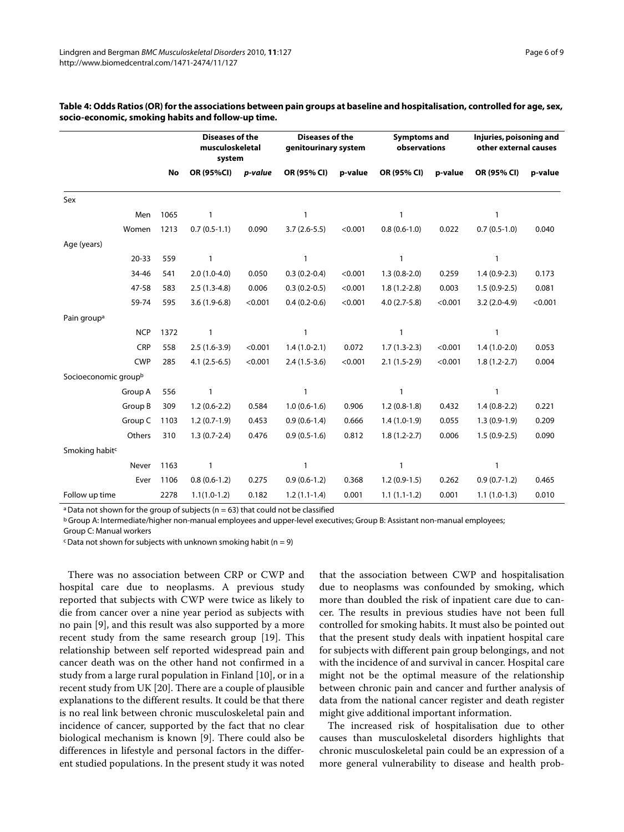|                                  |      | <b>Diseases of the</b><br>musculoskeletal<br>system |         | <b>Diseases of the</b><br>genitourinary system |         | <b>Symptoms and</b><br>observations |         | Injuries, poisoning and<br>other external causes |         |
|----------------------------------|------|-----------------------------------------------------|---------|------------------------------------------------|---------|-------------------------------------|---------|--------------------------------------------------|---------|
|                                  | No   | OR (95%CI)                                          | p-value | OR (95% CI)                                    | p-value | OR (95% CI)                         | p-value | OR (95% CI)                                      | p-value |
| Sex                              |      |                                                     |         |                                                |         |                                     |         |                                                  |         |
| Men                              | 1065 | 1                                                   |         | 1                                              |         | $\mathbf{1}$                        |         | 1                                                |         |
| Women                            | 1213 | $0.7(0.5-1.1)$                                      | 0.090   | $3.7(2.6-5.5)$                                 | < 0.001 | $0.8(0.6-1.0)$                      | 0.022   | $0.7(0.5-1.0)$                                   | 0.040   |
| Age (years)                      |      |                                                     |         |                                                |         |                                     |         |                                                  |         |
| $20 - 33$                        | 559  | 1                                                   |         | $\mathbf{1}$                                   |         | $\mathbf{1}$                        |         | $\mathbf{1}$                                     |         |
| 34-46                            | 541  | $2.0(1.0-4.0)$                                      | 0.050   | $0.3(0.2-0.4)$                                 | < 0.001 | $1.3(0.8-2.0)$                      | 0.259   | $1.4(0.9-2.3)$                                   | 0.173   |
| 47-58                            | 583  | $2.5(1.3-4.8)$                                      | 0.006   | $0.3(0.2-0.5)$                                 | < 0.001 | $1.8(1.2 - 2.8)$                    | 0.003   | $1.5(0.9-2.5)$                                   | 0.081   |
| 59-74                            | 595  | $3.6(1.9-6.8)$                                      | < 0.001 | $0.4(0.2-0.6)$                                 | < 0.001 | $4.0(2.7-5.8)$                      | < 0.001 | $3.2(2.0-4.9)$                                   | < 0.001 |
| Pain group <sup>a</sup>          |      |                                                     |         |                                                |         |                                     |         |                                                  |         |
| <b>NCP</b>                       | 1372 | $\mathbf{1}$                                        |         | 1                                              |         | $\mathbf{1}$                        |         | 1                                                |         |
| CRP                              | 558  | $2.5(1.6-3.9)$                                      | < 0.001 | $1.4(1.0-2.1)$                                 | 0.072   | $1.7(1.3-2.3)$                      | < 0.001 | $1.4(1.0-2.0)$                                   | 0.053   |
| <b>CWP</b>                       | 285  | $4.1(2.5-6.5)$                                      | < 0.001 | $2.4(1.5-3.6)$                                 | < 0.001 | $2.1(1.5-2.9)$                      | < 0.001 | $1.8(1.2 - 2.7)$                                 | 0.004   |
| Socioeconomic group <sup>b</sup> |      |                                                     |         |                                                |         |                                     |         |                                                  |         |
| Group A                          | 556  | 1                                                   |         | 1                                              |         | $\mathbf{1}$                        |         | 1                                                |         |
| Group B                          | 309  | $1.2(0.6-2.2)$                                      | 0.584   | $1.0(0.6-1.6)$                                 | 0.906   | $1.2(0.8-1.8)$                      | 0.432   | $1.4(0.8-2.2)$                                   | 0.221   |
| Group C                          | 1103 | $1.2(0.7-1.9)$                                      | 0.453   | $0.9(0.6-1.4)$                                 | 0.666   | $1.4(1.0-1.9)$                      | 0.055   | $1.3(0.9-1.9)$                                   | 0.209   |
| Others                           | 310  | $1.3(0.7-2.4)$                                      | 0.476   | $0.9(0.5-1.6)$                                 | 0.812   | $1.8(1.2 - 2.7)$                    | 0.006   | $1.5(0.9-2.5)$                                   | 0.090   |
| Smoking habit <sup>c</sup>       |      |                                                     |         |                                                |         |                                     |         |                                                  |         |
| Never                            | 1163 | 1                                                   |         | 1                                              |         | $\mathbf{1}$                        |         | 1                                                |         |
| Ever                             | 1106 | $0.8(0.6-1.2)$                                      | 0.275   | $0.9(0.6-1.2)$                                 | 0.368   | $1.2(0.9-1.5)$                      | 0.262   | $0.9(0.7-1.2)$                                   | 0.465   |
| Follow up time                   | 2278 | $1.1(1.0-1.2)$                                      | 0.182   | $1.2(1.1-1.4)$                                 | 0.001   | $1.1(1.1-1.2)$                      | 0.001   | $1.1(1.0-1.3)$                                   | 0.010   |

## **Table 4: Odds Ratios (OR) for the associations between pain groups at baseline and hospitalisation, controlled for age, sex, socio-economic, smoking habits and follow-up time.**

<sup>a</sup> Data not shown for the group of subjects ( $n = 63$ ) that could not be classified

b Group A: Intermediate/higher non-manual employees and upper-level executives; Group B: Assistant non-manual employees;

Group C: Manual workers

 $\epsilon$  Data not shown for subjects with unknown smoking habit (n = 9)

There was no association between CRP or CWP and hospital care due to neoplasms. A previous study reported that subjects with CWP were twice as likely to die from cancer over a nine year period as subjects with no pain [[9\]](#page-8-7), and this result was also supported by a more recent study from the same research group [\[19](#page-8-17)]. This relationship between self reported widespread pain and cancer death was on the other hand not confirmed in a study from a large rural population in Finland [\[10](#page-8-8)], or in a recent study from UK [[20\]](#page-8-18). There are a couple of plausible explanations to the different results. It could be that there is no real link between chronic musculoskeletal pain and incidence of cancer, supported by the fact that no clear biological mechanism is known [\[9](#page-8-7)]. There could also be differences in lifestyle and personal factors in the different studied populations. In the present study it was noted that the association between CWP and hospitalisation due to neoplasms was confounded by smoking, which more than doubled the risk of inpatient care due to cancer. The results in previous studies have not been full controlled for smoking habits. It must also be pointed out that the present study deals with inpatient hospital care for subjects with different pain group belongings, and not with the incidence of and survival in cancer. Hospital care might not be the optimal measure of the relationship between chronic pain and cancer and further analysis of data from the national cancer register and death register might give additional important information.

The increased risk of hospitalisation due to other causes than musculoskeletal disorders highlights that chronic musculoskeletal pain could be an expression of a more general vulnerability to disease and health prob-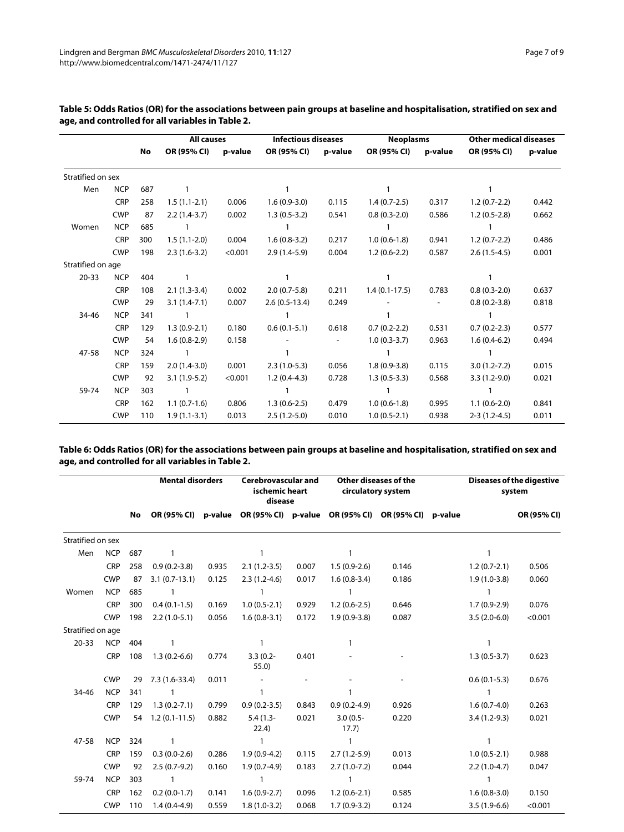|                   |            |     | <b>All causes</b> |         | <b>Infectious diseases</b> |         | <b>Neoplasms</b> |         | <b>Other medical diseases</b> |         |  |
|-------------------|------------|-----|-------------------|---------|----------------------------|---------|------------------|---------|-------------------------------|---------|--|
|                   |            | No  | OR (95% CI)       | p-value | OR (95% CI)                | p-value | OR (95% CI)      | p-value | OR (95% CI)                   | p-value |  |
| Stratified on sex |            |     |                   |         |                            |         |                  |         |                               |         |  |
| Men               | <b>NCP</b> | 687 |                   |         |                            |         |                  |         |                               |         |  |
|                   | <b>CRP</b> | 258 | $1.5(1.1-2.1)$    | 0.006   | $1.6(0.9-3.0)$             | 0.115   | $1.4(0.7-2.5)$   | 0.317   | $1.2(0.7-2.2)$                | 0.442   |  |
|                   | <b>CWP</b> | 87  | $2.2(1.4-3.7)$    | 0.002   | $1.3(0.5-3.2)$             | 0.541   | $0.8(0.3-2.0)$   | 0.586   | $1.2(0.5-2.8)$                | 0.662   |  |
| Women             | <b>NCP</b> | 685 |                   |         |                            |         |                  |         |                               |         |  |
|                   | <b>CRP</b> | 300 | $1.5(1.1-2.0)$    | 0.004   | $1.6(0.8-3.2)$             | 0.217   | $1.0(0.6-1.8)$   | 0.941   | $1.2(0.7-2.2)$                | 0.486   |  |
|                   | <b>CWP</b> | 198 | $2.3(1.6-3.2)$    | < 0.001 | $2.9(1.4-5.9)$             | 0.004   | $1.2(0.6-2.2)$   | 0.587   | $2.6(1.5-4.5)$                | 0.001   |  |
| Stratified on age |            |     |                   |         |                            |         |                  |         |                               |         |  |
| $20 - 33$         | <b>NCP</b> | 404 |                   |         |                            |         |                  |         |                               |         |  |
|                   | <b>CRP</b> | 108 | $2.1(1.3-3.4)$    | 0.002   | $2.0(0.7-5.8)$             | 0.211   | $1.4(0.1-17.5)$  | 0.783   | $0.8(0.3-2.0)$                | 0.637   |  |
|                   | <b>CWP</b> | 29  | $3.1(1.4-7.1)$    | 0.007   | $2.6(0.5-13.4)$            | 0.249   |                  |         | $0.8(0.2 - 3.8)$              | 0.818   |  |
| 34-46             | <b>NCP</b> | 341 |                   |         |                            |         |                  |         |                               |         |  |
|                   | <b>CRP</b> | 129 | $1.3(0.9-2.1)$    | 0.180   | $0.6(0.1-5.1)$             | 0.618   | $0.7(0.2-2.2)$   | 0.531   | $0.7(0.2-2.3)$                | 0.577   |  |
|                   | <b>CWP</b> | 54  | $1.6(0.8-2.9)$    | 0.158   |                            |         | $1.0(0.3-3.7)$   | 0.963   | $1.6(0.4-6.2)$                | 0.494   |  |
| 47-58             | <b>NCP</b> | 324 |                   |         |                            |         |                  |         |                               |         |  |
|                   | <b>CRP</b> | 159 | $2.0(1.4-3.0)$    | 0.001   | $2.3(1.0-5.3)$             | 0.056   | $1.8(0.9-3.8)$   | 0.115   | $3.0(1.2 - 7.2)$              | 0.015   |  |
|                   | <b>CWP</b> | 92  | $3.1(1.9-5.2)$    | < 0.001 | $1.2(0.4-4.3)$             | 0.728   | $1.3(0.5-3.3)$   | 0.568   | $3.3(1.2-9.0)$                | 0.021   |  |
| 59-74             | <b>NCP</b> | 303 |                   |         |                            |         |                  |         |                               |         |  |
|                   | <b>CRP</b> | 162 | $1.1(0.7-1.6)$    | 0.806   | $1.3(0.6-2.5)$             | 0.479   | $1.0(0.6-1.8)$   | 0.995   | $1.1(0.6-2.0)$                | 0.841   |  |
|                   | <b>CWP</b> | 110 | $1.9(1.1-3.1)$    | 0.013   | $2.5(1.2-5.0)$             | 0.010   | $1.0(0.5-2.1)$   | 0.938   | $2-3(1.2-4.5)$                | 0.011   |  |

**Table 5: Odds Ratios (OR) for the associations between pain groups at baseline and hospitalisation, stratified on sex and age, and controlled for all variables in Table 2.**

<span id="page-6-0"></span>**Table 6: Odds Ratios (OR) for the associations between pain groups at baseline and hospitalisation, stratified on sex and age, and controlled for all variables in Table 2.**

|                   |            |           | <b>Mental disorders</b> |       | <b>Cerebrovascular and</b><br>Other diseases of the<br>ischemic heart<br>circulatory system<br>disease |       |                                                                         |       |  | Diseases of the digestive<br>system |             |
|-------------------|------------|-----------|-------------------------|-------|--------------------------------------------------------------------------------------------------------|-------|-------------------------------------------------------------------------|-------|--|-------------------------------------|-------------|
|                   |            | <b>No</b> |                         |       |                                                                                                        |       | OR (95% CI) p-value OR (95% CI) p-value OR (95% CI) OR (95% CI) p-value |       |  |                                     | OR (95% CI) |
| Stratified on sex |            |           |                         |       |                                                                                                        |       |                                                                         |       |  |                                     |             |
| Men               | <b>NCP</b> | 687       | $\mathbf{1}$            |       | 1                                                                                                      |       | $\mathbf{1}$                                                            |       |  | $\mathbf{1}$                        |             |
|                   | CRP        | 258       | $0.9(0.2 - 3.8)$        | 0.935 | $2.1(1.2-3.5)$                                                                                         | 0.007 | $1.5(0.9-2.6)$                                                          | 0.146 |  | $1.2(0.7-2.1)$                      | 0.506       |
|                   | <b>CWP</b> | 87        | $3.1(0.7-13.1)$         | 0.125 | $2.3(1.2-4.6)$                                                                                         | 0.017 | $1.6(0.8-3.4)$                                                          | 0.186 |  | $1.9(1.0-3.8)$                      | 0.060       |
| Women             | <b>NCP</b> | 685       | -1                      |       | 1                                                                                                      |       | 1                                                                       |       |  | -1                                  |             |
|                   | <b>CRP</b> | 300       | $0.4(0.1-1.5)$          | 0.169 | $1.0(0.5-2.1)$                                                                                         | 0.929 | $1.2(0.6-2.5)$                                                          | 0.646 |  | $1.7(0.9-2.9)$                      | 0.076       |
|                   | <b>CWP</b> | 198       | $2.2(1.0-5.1)$          | 0.056 | $1.6(0.8-3.1)$                                                                                         | 0.172 | $1.9(0.9-3.8)$                                                          | 0.087 |  | $3.5(2.0-6.0)$                      | < 0.001     |
| Stratified on age |            |           |                         |       |                                                                                                        |       |                                                                         |       |  |                                     |             |
| $20 - 33$         | <b>NCP</b> | 404       | $\mathbf{1}$            |       | 1                                                                                                      |       | 1                                                                       |       |  | $\mathbf{1}$                        |             |
|                   | CRP        | 108       | $1.3(0.2-6.6)$          | 0.774 | $3.3(0.2 -$<br>55.0)                                                                                   | 0.401 |                                                                         |       |  | $1.3(0.5-3.7)$                      | 0.623       |
|                   | <b>CWP</b> | 29        | $7.3(1.6-33.4)$         | 0.011 |                                                                                                        |       |                                                                         |       |  | $0.6(0.1-5.3)$                      | 0.676       |
| 34-46             | <b>NCP</b> | 341       | 1                       |       | 1                                                                                                      |       | 1                                                                       |       |  | $\mathbf{1}$                        |             |
|                   | <b>CRP</b> | 129       | $1.3(0.2 - 7.1)$        | 0.799 | $0.9(0.2-3.5)$                                                                                         | 0.843 | $0.9(0.2-4.9)$                                                          | 0.926 |  | $1.6(0.7-4.0)$                      | 0.263       |
|                   | <b>CWP</b> | 54        | $1.2(0.1-11.5)$         | 0.882 | $5.4(1.3-$<br>22.4)                                                                                    | 0.021 | $3.0(0.5 -$<br>17.7)                                                    | 0.220 |  | $3.4(1.2-9.3)$                      | 0.021       |
| 47-58             | <b>NCP</b> | 324       | 1                       |       | 1                                                                                                      |       | 1                                                                       |       |  | $\mathbf{1}$                        |             |
|                   | <b>CRP</b> | 159       | $0.3(0.0-2.6)$          | 0.286 | $1.9(0.9-4.2)$                                                                                         | 0.115 | $2.7(1.2-5.9)$                                                          | 0.013 |  | $1.0(0.5-2.1)$                      | 0.988       |
|                   | <b>CWP</b> | 92        | $2.5(0.7-9.2)$          | 0.160 | $1.9(0.7-4.9)$                                                                                         | 0.183 | $2.7(1.0-7.2)$                                                          | 0.044 |  | $2.2(1.0-4.7)$                      | 0.047       |
| 59-74             | <b>NCP</b> | 303       | $\mathbf{1}$            |       | 1                                                                                                      |       | $\mathbf{1}$                                                            |       |  | $\mathbf{1}$                        |             |
|                   | <b>CRP</b> | 162       | $0.2(0.0-1.7)$          | 0.141 | $1.6(0.9-2.7)$                                                                                         | 0.096 | $1.2(0.6-2.1)$                                                          | 0.585 |  | $1.6(0.8-3.0)$                      | 0.150       |
|                   | <b>CWP</b> | 110       | $1.4(0.4-4.9)$          | 0.559 | $1.8(1.0-3.2)$                                                                                         | 0.068 | $1.7(0.9-3.2)$                                                          | 0.124 |  | $3.5(1.9-6.6)$                      | < 0.001     |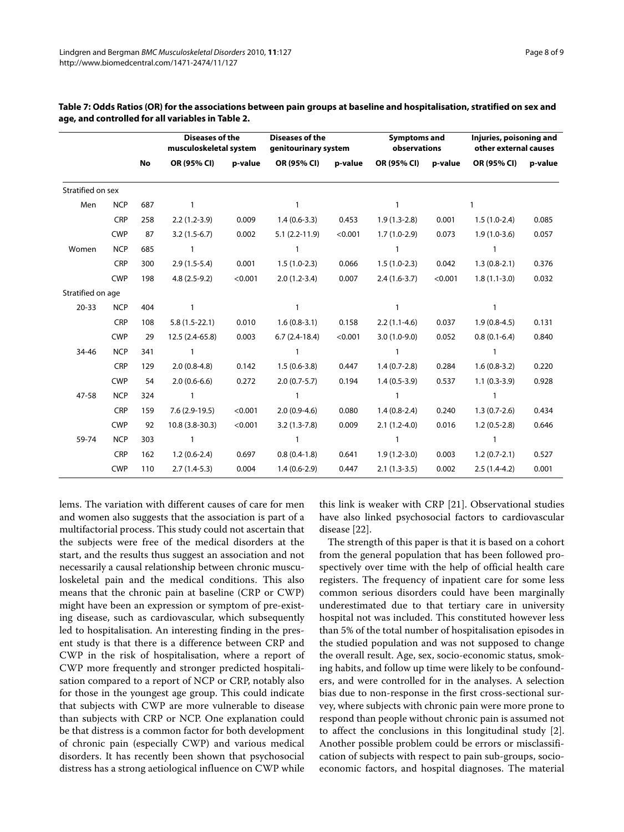|                   |            |           |                 | <b>Diseases of the</b><br>musculoskeletal system |                  | <b>Diseases of the</b><br>genitourinary system |                | <b>Symptoms and</b><br>observations |                | Injuries, poisoning and<br>other external causes |  |
|-------------------|------------|-----------|-----------------|--------------------------------------------------|------------------|------------------------------------------------|----------------|-------------------------------------|----------------|--------------------------------------------------|--|
|                   |            | <b>No</b> | OR (95% CI)     | p-value                                          | OR (95% CI)      | p-value                                        | OR (95% CI)    | p-value                             | OR (95% CI)    | p-value                                          |  |
| Stratified on sex |            |           |                 |                                                  |                  |                                                |                |                                     |                |                                                  |  |
| Men               | <b>NCP</b> | 687       | 1               |                                                  | $\mathbf{1}$     |                                                | $\mathbf{1}$   |                                     | 1              |                                                  |  |
|                   | <b>CRP</b> | 258       | $2.2(1.2-3.9)$  | 0.009                                            | $1.4(0.6-3.3)$   | 0.453                                          | $1.9(1.3-2.8)$ | 0.001                               | $1.5(1.0-2.4)$ | 0.085                                            |  |
|                   | <b>CWP</b> | 87        | $3.2(1.5-6.7)$  | 0.002                                            | $5.1(2.2-11.9)$  | < 0.001                                        | $1.7(1.0-2.9)$ | 0.073                               | $1.9(1.0-3.6)$ | 0.057                                            |  |
| Women             | <b>NCP</b> | 685       | $\mathbf{1}$    |                                                  | 1                |                                                | 1              |                                     | $\mathbf{1}$   |                                                  |  |
|                   | <b>CRP</b> | 300       | $2.9(1.5-5.4)$  | 0.001                                            | $1.5(1.0-2.3)$   | 0.066                                          | $1.5(1.0-2.3)$ | 0.042                               | $1.3(0.8-2.1)$ | 0.376                                            |  |
|                   | <b>CWP</b> | 198       | $4.8(2.5-9.2)$  | < 0.001                                          | $2.0(1.2-3.4)$   | 0.007                                          | $2.4(1.6-3.7)$ | < 0.001                             | $1.8(1.1-3.0)$ | 0.032                                            |  |
| Stratified on age |            |           |                 |                                                  |                  |                                                |                |                                     |                |                                                  |  |
| $20 - 33$         | <b>NCP</b> | 404       | $\mathbf{1}$    |                                                  | $\mathbf{1}$     |                                                | $\mathbf{1}$   |                                     | $\mathbf{1}$   |                                                  |  |
|                   | <b>CRP</b> | 108       | $5.8(1.5-22.1)$ | 0.010                                            | $1.6(0.8-3.1)$   | 0.158                                          | $2.2(1.1-4.6)$ | 0.037                               | $1.9(0.8-4.5)$ | 0.131                                            |  |
|                   | <b>CWP</b> | 29        | 12.5 (2.4-65.8) | 0.003                                            | $6.7(2.4-18.4)$  | < 0.001                                        | $3.0(1.0-9.0)$ | 0.052                               | $0.8(0.1-6.4)$ | 0.840                                            |  |
| 34-46             | <b>NCP</b> | 341       | $\mathbf{1}$    |                                                  | $\mathbf{1}$     |                                                | $\mathbf{1}$   |                                     | $\mathbf{1}$   |                                                  |  |
|                   | <b>CRP</b> | 129       | $2.0(0.8-4.8)$  | 0.142                                            | $1.5(0.6-3.8)$   | 0.447                                          | $1.4(0.7-2.8)$ | 0.284                               | $1.6(0.8-3.2)$ | 0.220                                            |  |
|                   | <b>CWP</b> | 54        | $2.0(0.6-6.6)$  | 0.272                                            | $2.0(0.7-5.7)$   | 0.194                                          | $1.4(0.5-3.9)$ | 0.537                               | $1.1(0.3-3.9)$ | 0.928                                            |  |
| 47-58             | <b>NCP</b> | 324       | 1               |                                                  | 1                |                                                | 1              |                                     | $\mathbf{1}$   |                                                  |  |
|                   | <b>CRP</b> | 159       | $7.6(2.9-19.5)$ | < 0.001                                          | $2.0(0.9-4.6)$   | 0.080                                          | $1.4(0.8-2.4)$ | 0.240                               | $1.3(0.7-2.6)$ | 0.434                                            |  |
|                   | <b>CWP</b> | 92        | 10.8 (3.8-30.3) | < 0.001                                          | $3.2(1.3 - 7.8)$ | 0.009                                          | $2.1(1.2-4.0)$ | 0.016                               | $1.2(0.5-2.8)$ | 0.646                                            |  |
| 59-74             | <b>NCP</b> | 303       | $\mathbf{1}$    |                                                  | $\mathbf{1}$     |                                                | $\mathbf{1}$   |                                     | $\mathbf{1}$   |                                                  |  |
|                   | <b>CRP</b> | 162       | $1.2(0.6-2.4)$  | 0.697                                            | $0.8(0.4-1.8)$   | 0.641                                          | $1.9(1.2-3.0)$ | 0.003                               | $1.2(0.7-2.1)$ | 0.527                                            |  |
|                   | <b>CWP</b> | 110       | $2.7(1.4-5.3)$  | 0.004                                            | $1.4(0.6-2.9)$   | 0.447                                          | $2.1(1.3-3.5)$ | 0.002                               | $2.5(1.4-4.2)$ | 0.001                                            |  |

<span id="page-7-0"></span>**Table 7: Odds Ratios (OR) for the associations between pain groups at baseline and hospitalisation, stratified on sex and age, and controlled for all variables in Table 2.**

lems. The variation with different causes of care for men and women also suggests that the association is part of a multifactorial process. This study could not ascertain that the subjects were free of the medical disorders at the start, and the results thus suggest an association and not necessarily a causal relationship between chronic musculoskeletal pain and the medical conditions. This also means that the chronic pain at baseline (CRP or CWP) might have been an expression or symptom of pre-existing disease, such as cardiovascular, which subsequently led to hospitalisation. An interesting finding in the present study is that there is a difference between CRP and CWP in the risk of hospitalisation, where a report of CWP more frequently and stronger predicted hospitalisation compared to a report of NCP or CRP, notably also for those in the youngest age group. This could indicate that subjects with CWP are more vulnerable to disease than subjects with CRP or NCP. One explanation could be that distress is a common factor for both development of chronic pain (especially CWP) and various medical disorders. It has recently been shown that psychosocial distress has a strong aetiological influence on CWP while

this link is weaker with CRP [\[21](#page-8-19)]. Observational studies have also linked psychosocial factors to cardiovascular disease [\[22](#page-8-20)].

The strength of this paper is that it is based on a cohort from the general population that has been followed prospectively over time with the help of official health care registers. The frequency of inpatient care for some less common serious disorders could have been marginally underestimated due to that tertiary care in university hospital not was included. This constituted however less than 5% of the total number of hospitalisation episodes in the studied population and was not supposed to change the overall result. Age, sex, socio-economic status, smoking habits, and follow up time were likely to be confounders, and were controlled for in the analyses. A selection bias due to non-response in the first cross-sectional survey, where subjects with chronic pain were more prone to respond than people without chronic pain is assumed not to affect the conclusions in this longitudinal study [\[2](#page-8-2)]. Another possible problem could be errors or misclassification of subjects with respect to pain sub-groups, socioeconomic factors, and hospital diagnoses. The material